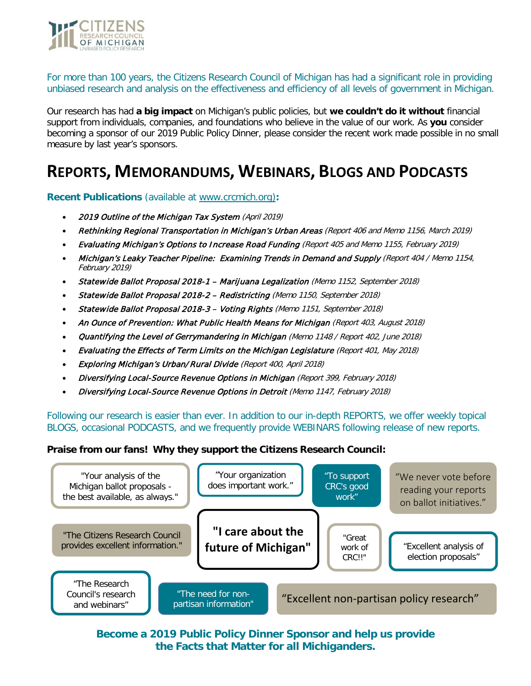

For more than 100 years, the Citizens Research Council of Michigan has had a significant role in providing unbiased research and analysis on the effectiveness and efficiency of all levels of government in Michigan.

Our research has had **a big impact** on Michigan's public policies, but **we couldn't do it without** financial support from individuals, companies, and foundations who believe in the value of our work. As **you** consider becoming a sponsor of our 2019 Public Policy Dinner, please consider the recent work made possible in no small measure by last year's sponsors.

## **REPORTS, MEMORANDUMS, WEBINARS, BLOGS AND PODCASTS**

**Recent Publications** (available at [www.crcmich.org\)](http://www.crcmich.org/)**:**

- [2019 Outline of the Michigan Tax System](http://crcmich.org/2016-outline-of-the-michigan-tax-system/) (April 2019)
- Rethinking Regional Transportation in Michigan's Urban Areas (Report 406 and Memo 1156, March 2019)
- Evaluating Michigan's Options to Increase Road Funding (Report 405 and Memo 1155, February 2019)
- Michigan's Leaky Teacher Pipeline: Examining Trends in Demand and Supply (Report 404 / Memo 1154, February 2019)
- Statewide Ballot Proposal 2018-1 Marijuana Legalization (Memo 1152, September 2018)
- [Statewide](http://crcmich.org/survey-of-economic-development-programs-in-michigan/) Ballot Proposal 2018-2 Redistricting (Memo 1150, September 2018)
- Statewide Ballot Proposal 2018-3 Voting Rights (Memo 1151, September 2018)
- An Ounce of Prevention: What Public Health Means for Michigan (Report 403, August 2018)
- Quantifying the Level of Gerrymandering in Michigan (Memo 1148 / Report 402, June 2018)
- Evaluating the Effects of Term Limits on the Michigan Legislature (Report 401, May 2018)
- Exploring Michigan's Urban/Rural Divide (Report 400, April 2018)
- Diversifying Local-Source Revenue Options in Michigan (Report 399, February 2018)
- Diversifying Local-Source Revenue Options in Detroit (Memo 1147, February 2018)

Following our research is easier than ever. In addition to our in-depth REPORTS, we offer weekly topical BLOGS, occasional PODCASTS, and we frequently provide WEBINARS following release of new reports.

#### **Praise from our fans! Why they support the Citizens Research Council:**



**Become a 2019 Public Policy Dinner Sponsor and help us provide the Facts that Matter for all Michiganders.**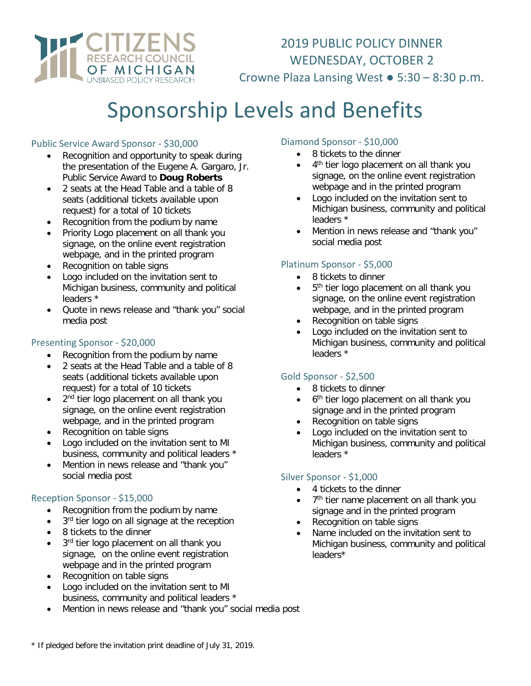

2019 PUBLIC POLICY DINNER WEDNESDAY, OCTOBER 2 Crowne Plaza Lansing West ● 5:30 – 8:30 p.m.

# Sponsorship Levels and Benefits

#### Public Service Award Sponsor - \$30,000

- Recognition and opportunity to speak during the presentation of the Eugene A. Gargaro, Jr. Public Service Award to **Doug Roberts**
- 2 seats at the Head Table and a table of 8 seats (additional tickets available upon request) for a total of 10 tickets
- Recognition from the podium by name
- Priority Logo placement on all thank you signage, on the online event registration webpage, and in the printed program
- Recognition on table signs
- Logo included on the invitation sent to Michigan business, community and political leaders \*
- Quote in news release and "thank you" social media post

#### Presenting Sponsor - \$20,000

- Recognition from the podium by name
- 2 seats at the Head Table and a table of 8 seats (additional tickets available upon request) for a total of 10 tickets
- 2<sup>nd</sup> tier logo placement on all thank you signage, on the online event registration webpage, and in the printed program
- Recognition on table signs
- Logo included on the invitation sent to MI business, community and political leaders \*
- Mention in news release and "thank you" social media post

#### Reception Sponsor - \$15,000

- Recognition from the podium by name
- 3<sup>rd</sup> tier logo on all signage at the reception
- 8 tickets to the dinner
- 3rd tier logo placement on all thank you signage, on the online event registration webpage and in the printed program
- Recognition on table signs
- Logo included on the invitation sent to MI business, community and political leaders \*
- Mention in news release and "thank you" social media post

#### Diamond Sponsor - \$10,000

- 8 tickets to the dinner
- 4<sup>th</sup> tier logo placement on all thank you signage, on the online event registration webpage and in the printed program
- Logo included on the invitation sent to Michigan business, community and political leaders \*
- Mention in news release and "thank you" social media post

## Platinum Sponsor - \$5,000

- 8 tickets to dinner
- $\bullet$  5<sup>th</sup> tier logo placement on all thank you signage, on the online event registration webpage, and in the printed program
- Recognition on table signs
- Logo included on the invitation sent to Michigan business, community and political leaders \*

#### Gold Sponsor - \$2,500

- 8 tickets to dinner
- 6<sup>th</sup> tier logo placement on all thank you signage and in the printed program
- Recognition on table signs
- Logo included on the invitation sent to Michigan business, community and political leaders \*

#### Silver Sponsor - \$1,000

- 4 tickets to the dinner
- 7<sup>th</sup> tier name placement on all thank you signage and in the printed program
- Recognition on table signs
- Name included on the invitation sent to Michigan business, community and political leaders\*

<sup>\*</sup> If pledged before the invitation print deadline of July 31, 2019.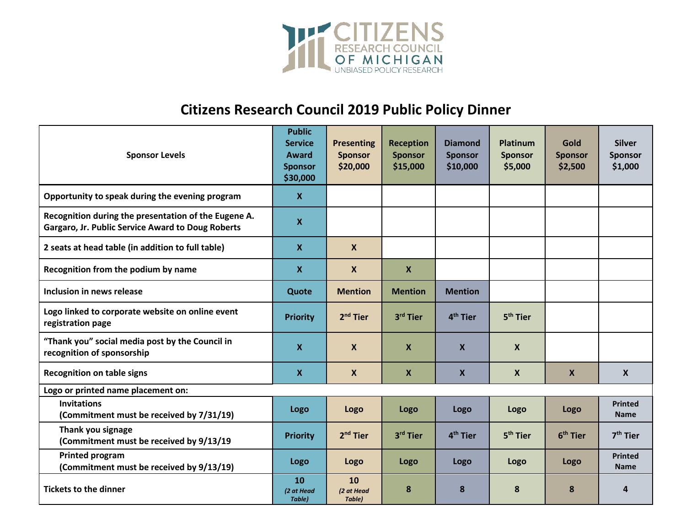

# **Citizens Research Council 2019 Public Policy Dinner**

| <b>Sponsor Levels</b>                                                                                            | <b>Public</b><br><b>Service</b><br>Award<br><b>Sponsor</b><br>\$30,000 | <b>Presenting</b><br><b>Sponsor</b><br>\$20,000 | <b>Reception</b><br><b>Sponsor</b><br>\$15,000 | <b>Diamond</b><br><b>Sponsor</b><br>\$10,000 | <b>Platinum</b><br><b>Sponsor</b><br>\$5,000 | <b>Gold</b><br><b>Sponsor</b><br>\$2,500 | <b>Silver</b><br><b>Sponsor</b><br>\$1,000 |
|------------------------------------------------------------------------------------------------------------------|------------------------------------------------------------------------|-------------------------------------------------|------------------------------------------------|----------------------------------------------|----------------------------------------------|------------------------------------------|--------------------------------------------|
| Opportunity to speak during the evening program                                                                  | $\mathbf{x}$                                                           |                                                 |                                                |                                              |                                              |                                          |                                            |
| Recognition during the presentation of the Eugene A.<br><b>Gargaro, Jr. Public Service Award to Doug Roberts</b> | $\boldsymbol{X}$                                                       |                                                 |                                                |                                              |                                              |                                          |                                            |
| 2 seats at head table (in addition to full table)                                                                | X                                                                      | $\boldsymbol{X}$                                |                                                |                                              |                                              |                                          |                                            |
| Recognition from the podium by name                                                                              | X                                                                      | $\boldsymbol{X}$                                | $\boldsymbol{X}$                               |                                              |                                              |                                          |                                            |
| Inclusion in news release                                                                                        | Quote                                                                  | <b>Mention</b>                                  | <b>Mention</b>                                 | <b>Mention</b>                               |                                              |                                          |                                            |
| Logo linked to corporate website on online event<br>registration page                                            | <b>Priority</b>                                                        | $2nd$ Tier                                      | 3rd Tier                                       | 4 <sup>th</sup> Tier                         | 5 <sup>th</sup> Tier                         |                                          |                                            |
| "Thank you" social media post by the Council in<br>recognition of sponsorship                                    | X                                                                      | $\boldsymbol{X}$                                | X                                              | X                                            | X                                            |                                          |                                            |
| <b>Recognition on table signs</b>                                                                                | $\boldsymbol{\mathsf{X}}$                                              | $\mathsf{x}$                                    | $\mathbf{x}$                                   | $\mathbf{x}$                                 | X                                            | $\mathsf{x}$                             | $\mathbf{x}$                               |
| Logo or printed name placement on:                                                                               |                                                                        |                                                 |                                                |                                              |                                              |                                          |                                            |
| <b>Invitations</b><br>(Commitment must be received by 7/31/19)                                                   | Logo                                                                   | Logo                                            | Logo                                           | Logo                                         | Logo                                         | Logo                                     | <b>Printed</b><br><b>Name</b>              |
| Thank you signage<br>(Commitment must be received by 9/13/19                                                     | <b>Priority</b>                                                        | $2nd$ Tier                                      | 3rd Tier                                       | 4 <sup>th</sup> Tier                         | 5 <sup>th</sup> Tier                         | $6th$ Tier                               | $7th$ Tier                                 |
| Printed program<br>(Commitment must be received by 9/13/19)                                                      | Logo                                                                   | Logo                                            | Logo                                           | Logo                                         | Logo                                         | Logo                                     | <b>Printed</b><br><b>Name</b>              |
| <b>Tickets to the dinner</b>                                                                                     | 10<br>(2 at Head<br>Table)                                             | 10<br>(2 at Head<br>Table)                      | 8                                              | 8                                            | 8                                            | 8                                        | 4                                          |